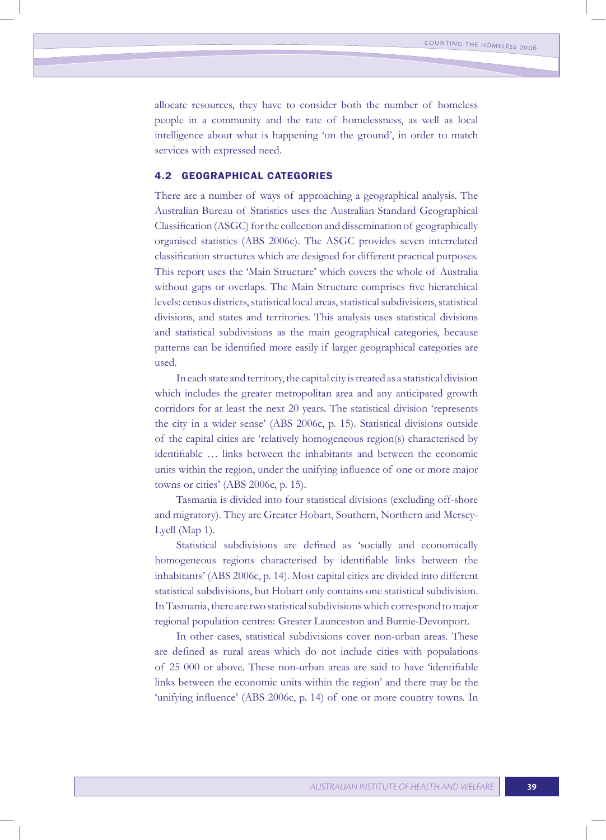allocate resources, they have to consider both the number of homeless people in a community and the rate of homelessness, as well as local intelligence about what is happening 'on the ground', in order to match services with expressed need.

## 4.2 GEOGRAPHICAL CATEGORIES

There are a number of ways of approaching a geographical analysis. The Australian Bureau of Statistics uses the Australian Standard Geographical Classification (ASGC) for the collection and dissemination of geographically organised statistics (ABS 2006c). The ASGC provides seven interrelated classification structures which are designed for different practical purposes. This report uses the 'Main Structure' which covers the whole of Australia without gaps or overlaps. The Main Structure comprises five hierarchical levels: census districts, statistical local areas, statistical subdivisions, statistical divisions, and states and territories. This analysis uses statistical divisions and statistical subdivisions as the main geographical categories, because patterns can be identified more easily if larger geographical categories are used.

In each state and territory, the capital city is treated as a statistical division which includes the greater metropolitan area and any anticipated growth corridors for at least the next 20 years. The statistical division 'represents the city in a wider sense' (ABS 2006c, p. 15). Statistical divisions outside of the capital cities are 'relatively homogeneous region(s) characterised by identifiable … links between the inhabitants and between the economic units within the region, under the unifying influence of one or more major towns or cities' (ABS 2006c, p. 15).

Tasmania is divided into four statistical divisions (excluding off-shore and migratory). They are Greater Hobart, Southern, Northern and Mersey-Lyell (Map 1).

Statistical subdivisions are defined as 'socially and economically homogeneous regions characterised by identifiable links between the inhabitants' (ABS 2006c, p. 14). Most capital cities are divided into different statistical subdivisions, but Hobart only contains one statistical subdivision. In Tasmania, there are two statistical subdivisions which correspond to major regional population centres: Greater Launceston and Burnie-Devonport.

In other cases, statistical subdivisions cover non-urban areas. These are defined as rural areas which do not include cities with populations of 25 000 or above. These non-urban areas are said to have 'identifiable links between the economic units within the region' and there may be the 'unifying influence' (ABS 2006c, p. 14) of one or more country towns. In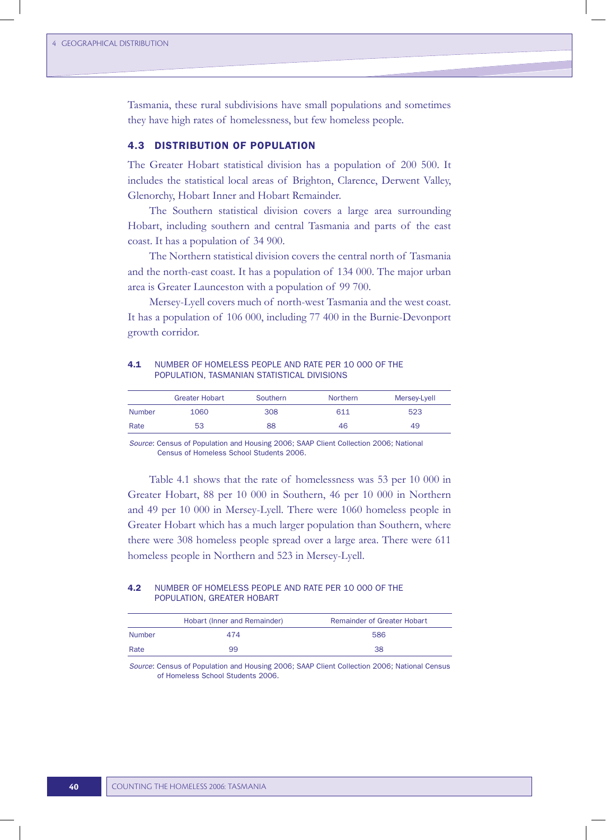Tasmania, these rural subdivisions have small populations and sometimes they have high rates of homelessness, but few homeless people.

# 4.3 DISTRIBUTION OF POPULATION

The Greater Hobart statistical division has a population of 200 500. It includes the statistical local areas of Brighton, Clarence, Derwent Valley, Glenorchy, Hobart Inner and Hobart Remainder.

The Southern statistical division covers a large area surrounding Hobart, including southern and central Tasmania and parts of the east coast. It has a population of 34 900.

The Northern statistical division covers the central north of Tasmania and the north-east coast. It has a population of 134 000. The major urban area is Greater Launceston with a population of 99 700.

Mersey-Lyell covers much of north-west Tasmania and the west coast. It has a population of 106 000, including 77 400 in the Burnie-Devonport growth corridor.

## 4.1 NUMBER OF HOMELESS PEOPLE AND RATE PER 10 000 OF THE POPULATION, TASMANIAN STATISTICAL DIVISIONS

|               | <b>Greater Hobart</b> | <b>Southern</b> | <b>Northern</b> | Mersey-Lyell |
|---------------|-----------------------|-----------------|-----------------|--------------|
| <b>Number</b> | 1060                  | 308             | 611             | 523          |
| Rate          | 53                    | 88              | 46              | 49           |

*Source*: Census of Population and Housing 2006; SAAP Client Collection 2006; National Census of Homeless School Students 2006.

Table 4.1 shows that the rate of homelessness was 53 per 10 000 in Greater Hobart, 88 per 10 000 in Southern, 46 per 10 000 in Northern and 49 per 10 000 in Mersey-Lyell. There were 1060 homeless people in Greater Hobart which has a much larger population than Southern, where there were 308 homeless people spread over a large area. There were 611 homeless people in Northern and 523 in Mersey-Lyell.

## 4.2 NUMBER OF HOMELESS PEOPLE AND RATE PER 10 000 OF THE POPULATION, GREATER HOBART

|               | Hobart (Inner and Remainder) | <b>Remainder of Greater Hobart</b> |
|---------------|------------------------------|------------------------------------|
| <b>Number</b> | 474                          | 586                                |
| Rate          | 99                           | 38                                 |

*Source*: Census of Population and Housing 2006; SAAP Client Collection 2006; National Census of Homeless School Students 2006.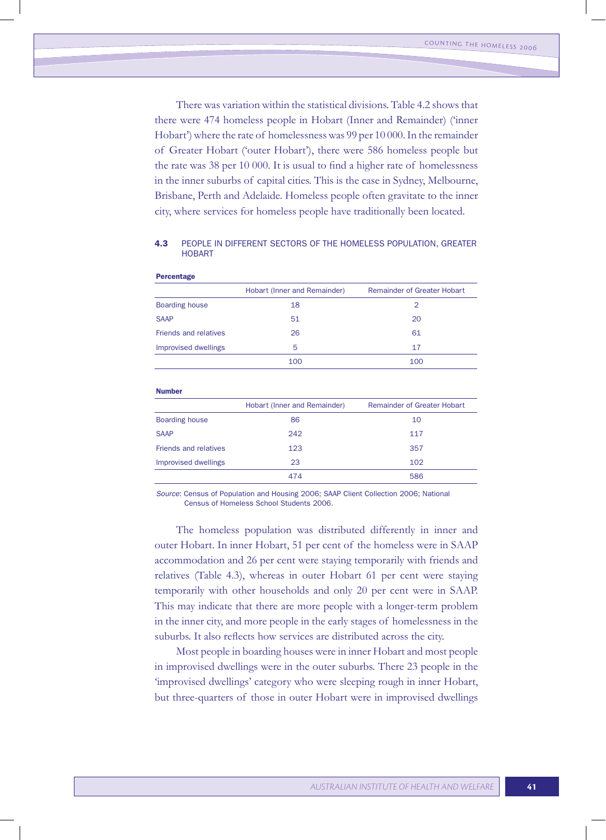There was variation within the statistical divisions. Table 4.2 shows that there were 474 homeless people in Hobart (Inner and Remainder) ('inner Hobart') where the rate of homelessness was 99 per 10 000. In the remainder of Greater Hobart ('outer Hobart'), there were 586 homeless people but the rate was 38 per 10 000. It is usual to find a higher rate of homelessness in the inner suburbs of capital cities. This is the case in Sydney, Melbourne, Brisbane, Perth and Adelaide. Homeless people often gravitate to the inner city, where services for homeless people have traditionally been located.

### 4.3 PEOPLE IN DIFFERENT SECTORS OF THE HOMELESS POPULATION, GREATER HOBART

| <b>Percentage</b>            |                              |                                    |
|------------------------------|------------------------------|------------------------------------|
|                              | Hobart (Inner and Remainder) | <b>Remainder of Greater Hobart</b> |
| <b>Boarding house</b>        | 18                           | $\overline{2}$                     |
| <b>SAAP</b>                  | 51                           | 20                                 |
| <b>Friends and relatives</b> | 26                           | 61                                 |
| Improvised dwellings         | 5                            | 17                                 |
|                              | 100                          | 100                                |
|                              |                              |                                    |
| <b>Number</b>                |                              |                                    |
|                              | Hobart (Inner and Remainder) | <b>Remainder of Greater Hobart</b> |
| <b>Boarding house</b>        | 86                           | 10                                 |
| <b>SAAP</b>                  | 242                          | 117                                |
| Friends and relatives        | 123                          | 357                                |
| Improvised dwellings         | 23                           | 102                                |
|                              | 474                          | 586                                |
|                              |                              |                                    |

*Source*: Census of Population and Housing 2006; SAAP Client Collection 2006; National Census of Homeless School Students 2006.

The homeless population was distributed differently in inner and outer Hobart. In inner Hobart, 51 per cent of the homeless were in SAAP accommodation and 26 per cent were staying temporarily with friends and relatives (Table 4.3), whereas in outer Hobart 61 per cent were staying temporarily with other households and only 20 per cent were in SAAP. This may indicate that there are more people with a longer-term problem in the inner city, and more people in the early stages of homelessness in the suburbs. It also reflects how services are distributed across the city.

Most people in boarding houses were in inner Hobart and most people in improvised dwellings were in the outer suburbs. There 23 people in the 'improvised dwellings' category who were sleeping rough in inner Hobart, but three-quarters of those in outer Hobart were in improvised dwellings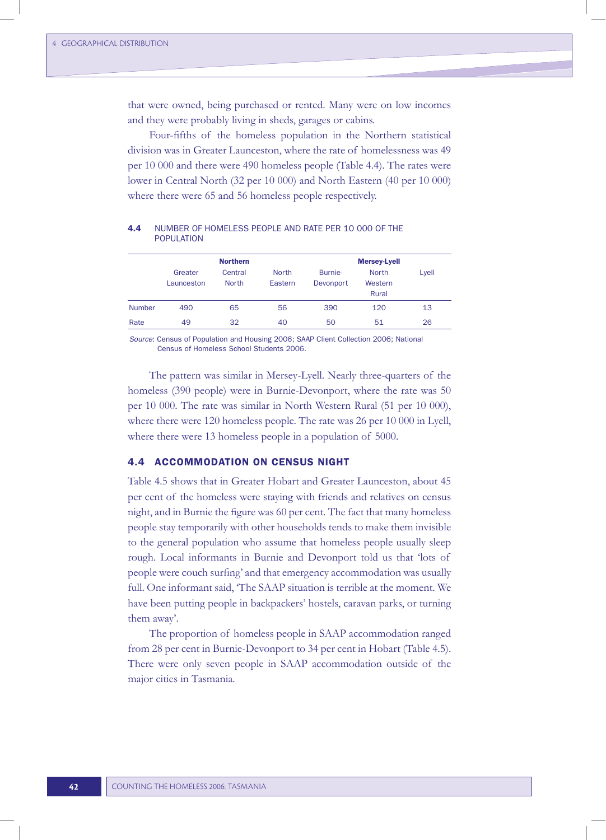that were owned, being purchased or rented. Many were on low incomes and they were probably living in sheds, garages or cabins.

Four-fifths of the homeless population in the Northern statistical division was in Greater Launceston, where the rate of homelessness was 49 per 10 000 and there were 490 homeless people (Table 4.4). The rates were lower in Central North (32 per 10 000) and North Eastern (40 per 10 000) where there were 65 and 56 homeless people respectively.

|               | <b>Northern</b>       |                         |                         | <b>Mersey-Lyell</b>  |                                  |       |
|---------------|-----------------------|-------------------------|-------------------------|----------------------|----------------------------------|-------|
|               | Greater<br>Launceston | Central<br><b>North</b> | <b>North</b><br>Eastern | Burnie-<br>Devonport | <b>North</b><br>Western<br>Rural | Lyell |
| <b>Number</b> | 490                   | 65                      | 56                      | 390                  | 120                              | 13    |
| Rate          | 49                    | 32                      | 40                      | 50                   | 51                               | 26    |

### 4.4 NUMBER OF HOMELESS PEOPLE AND RATE PER 10 000 OF THE POPULATION

*Source*: Census of Population and Housing 2006; SAAP Client Collection 2006; National Census of Homeless School Students 2006.

The pattern was similar in Mersey-Lyell. Nearly three-quarters of the homeless (390 people) were in Burnie-Devonport, where the rate was 50 per 10 000. The rate was similar in North Western Rural (51 per 10 000), where there were 120 homeless people. The rate was 26 per 10 000 in Lyell, where there were 13 homeless people in a population of 5000.

### 4.4 ACCOMMODATION ON CENSUS NIGHT

Table 4.5 shows that in Greater Hobart and Greater Launceston, about 45 per cent of the homeless were staying with friends and relatives on census night, and in Burnie the figure was 60 per cent. The fact that many homeless people stay temporarily with other households tends to make them invisible to the general population who assume that homeless people usually sleep rough. Local informants in Burnie and Devonport told us that 'lots of people were couch surfing' and that emergency accommodation was usually full. One informant said, 'The SAAP situation is terrible at the moment. We have been putting people in backpackers' hostels, caravan parks, or turning them away'.

The proportion of homeless people in SAAP accommodation ranged from 28 per cent in Burnie-Devonport to 34 per cent in Hobart (Table 4.5). There were only seven people in SAAP accommodation outside of the major cities in Tasmania.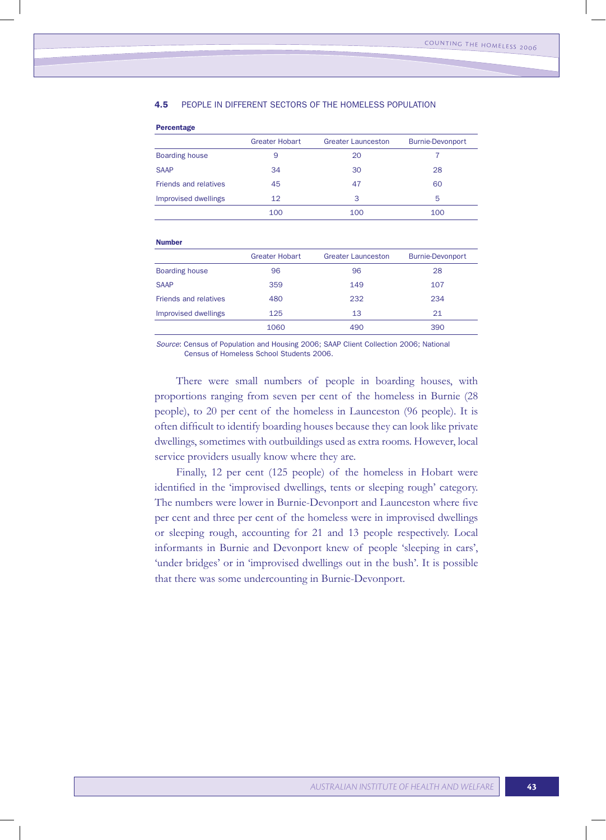| <b>Percentage</b>           |                       |                           |                         |
|-----------------------------|-----------------------|---------------------------|-------------------------|
|                             | <b>Greater Hobart</b> | <b>Greater Launceston</b> | <b>Burnie-Devonport</b> |
| <b>Boarding house</b>       | 9                     | 20                        |                         |
| <b>SAAP</b>                 | 34                    | 30                        | 28                      |
| Friends and relatives       | 45                    | 47                        | 60                      |
| <b>Improvised dwellings</b> | 12                    | 3                         | 5                       |
|                             | 100                   | 100                       | 100                     |
|                             |                       |                           |                         |

#### 4.5 PEOPLE IN DIFFERENT SECTORS OF THE HOMELESS POPULATION

Percentage

| <b>Number</b>         |                       |                           |                         |
|-----------------------|-----------------------|---------------------------|-------------------------|
|                       | <b>Greater Hobart</b> | <b>Greater Launceston</b> | <b>Burnie-Devonport</b> |
| <b>Boarding house</b> | 96                    | 96                        | 28                      |
| <b>SAAP</b>           | 359                   | 149                       | 107                     |
| Friends and relatives | 480                   | 232                       | 234                     |
| Improvised dwellings  | 125                   | 13                        | 21                      |
|                       | 1060                  | 490                       | 390                     |

*Source*: Census of Population and Housing 2006; SAAP Client Collection 2006; National Census of Homeless School Students 2006.

There were small numbers of people in boarding houses, with proportions ranging from seven per cent of the homeless in Burnie (28 people), to 20 per cent of the homeless in Launceston (96 people). It is often difficult to identify boarding houses because they can look like private dwellings, sometimes with outbuildings used as extra rooms. However, local service providers usually know where they are.

Finally, 12 per cent (125 people) of the homeless in Hobart were identified in the 'improvised dwellings, tents or sleeping rough' category. The numbers were lower in Burnie-Devonport and Launceston where five per cent and three per cent of the homeless were in improvised dwellings or sleeping rough, accounting for 21 and 13 people respectively. Local informants in Burnie and Devonport knew of people 'sleeping in cars', 'under bridges' or in 'improvised dwellings out in the bush'. It is possible that there was some undercounting in Burnie-Devonport.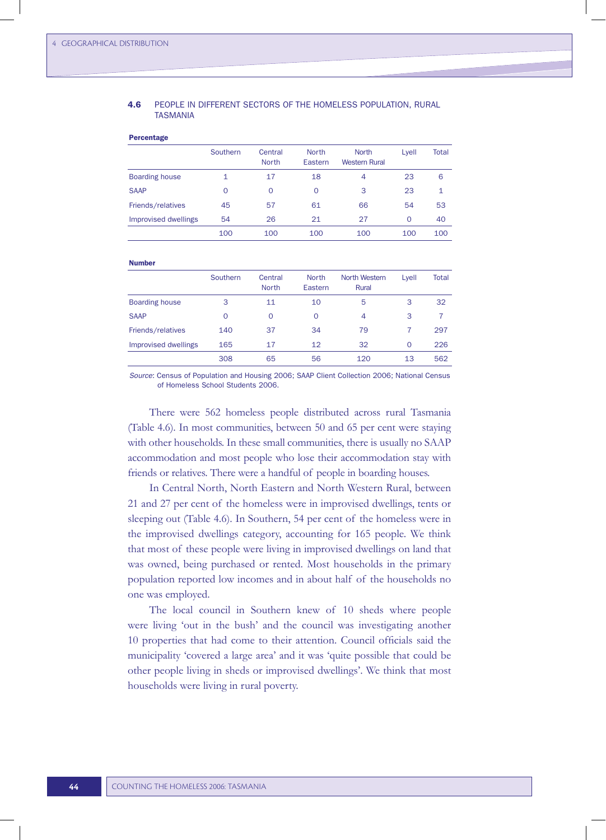**Percentage** 

#### 4.6 PEOPLE IN DIFFERENT SECTORS OF THE HOMELESS POPULATION, RURAL **TASMANIA**

|                             | Southern     | Central<br><b>North</b> | <b>North</b><br>Eastern | <b>North</b><br><b>Western Rural</b> | Lyell       | <b>Total</b> |
|-----------------------------|--------------|-------------------------|-------------------------|--------------------------------------|-------------|--------------|
| <b>Boarding house</b>       | $\mathbf{1}$ | 17                      | 18                      | $\overline{4}$                       | 23          | 6            |
| <b>SAAP</b>                 | $\Omega$     | $\Omega$                | $\Omega$                | 3                                    | 23          | $\mathbf{1}$ |
| Friends/relatives           | 45           | 57                      | 61                      | 66                                   | 54          | 53           |
| <b>Improvised dwellings</b> | 54           | 26                      | 21                      | 27                                   | $\mathbf 0$ | 40           |
|                             | 100          | 100                     | 100                     | 100                                  | 100         | 100          |
|                             |              |                         |                         |                                      |             |              |
| <b>Number</b>               |              |                         |                         |                                      |             |              |
|                             | Southern     | Central<br>North        | <b>North</b><br>Eastern | North Western<br>Rural               | Lyell       | <b>Total</b> |
| <b>Boarding house</b>       | 3            | 11                      | 10                      | 5                                    | 3           | 32           |
| <b>SAAP</b>                 | $\Omega$     | $\Omega$                | $\Omega$                | $\overline{4}$                       | 3           | 7            |
| Friends/relatives           | 140          | 37                      | 34                      | 79                                   | 7           | 297          |
| <b>Improvised dwellings</b> | 165          | 17                      | 12                      | 32                                   | $\Omega$    | 226          |
|                             | 308          | 65                      | 56                      | 120                                  | 13          | 562          |

*Source*: Census of Population and Housing 2006; SAAP Client Collection 2006; National Census of Homeless School Students 2006.

There were 562 homeless people distributed across rural Tasmania (Table 4.6). In most communities, between 50 and 65 per cent were staying with other households. In these small communities, there is usually no SAAP accommodation and most people who lose their accommodation stay with friends or relatives. There were a handful of people in boarding houses.

In Central North, North Eastern and North Western Rural, between 21 and 27 per cent of the homeless were in improvised dwellings, tents or sleeping out (Table 4.6). In Southern, 54 per cent of the homeless were in the improvised dwellings category, accounting for 165 people. We think that most of these people were living in improvised dwellings on land that was owned, being purchased or rented. Most households in the primary population reported low incomes and in about half of the households no one was employed.

The local council in Southern knew of 10 sheds where people were living 'out in the bush' and the council was investigating another 10 properties that had come to their attention. Council officials said the municipality 'covered a large area' and it was 'quite possible that could be other people living in sheds or improvised dwellings'. We think that most households were living in rural poverty.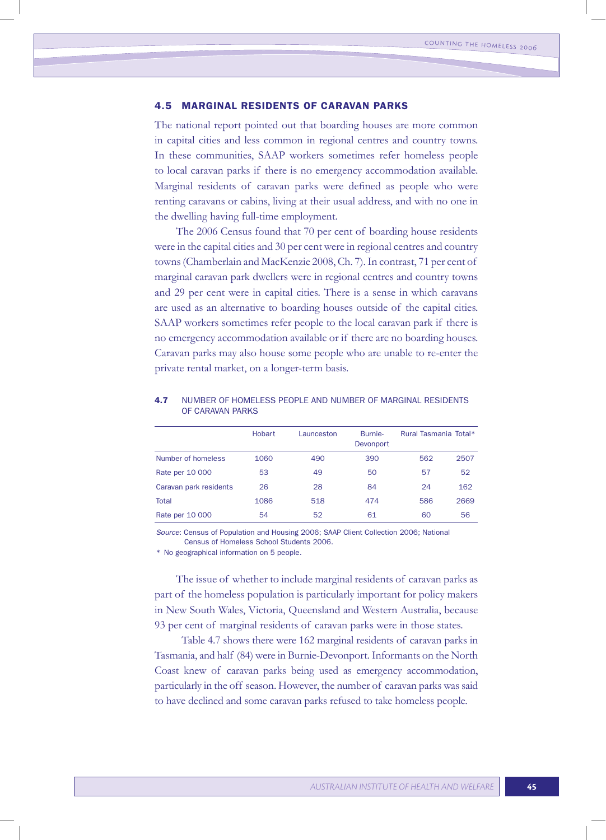## 4.5 MARGINAL RESIDENTS OF CARAVAN PARKS

The national report pointed out that boarding houses are more common in capital cities and less common in regional centres and country towns. In these communities, SAAP workers sometimes refer homeless people to local caravan parks if there is no emergency accommodation available. Marginal residents of caravan parks were defined as people who were renting caravans or cabins, living at their usual address, and with no one in the dwelling having full-time employment.

The 2006 Census found that 70 per cent of boarding house residents were in the capital cities and 30 per cent were in regional centres and country towns(Chamberlain and MacKenzie 2008, Ch. 7).In contrast, 71 per cent of marginal caravan park dwellers were in regional centres and country towns and 29 per cent were in capital cities. There is a sense in which caravans are used as an alternative to boarding houses outside of the capital cities. SAAP workers sometimes refer people to the local caravan park if there is no emergency accommodation available or if there are no boarding houses. Caravan parks may also house some people who are unable to re-enter the private rental market, on a longer-term basis.

|                        | Hobart | Launceston | Burnie-<br>Devonport | Rural Tasmania Total* |      |
|------------------------|--------|------------|----------------------|-----------------------|------|
| Number of homeless     | 1060   | 490        | 390                  | 562                   | 2507 |
| Rate per 10 000        | 53     | 49         | 50                   | 57                    | 52   |
| Caravan park residents | 26     | 28         | 84                   | 24                    | 162  |
| Total                  | 1086   | 518        | 474                  | 586                   | 2669 |
| Rate per 10 000        | 54     | 52         | 61                   | 60                    | 56   |

## 4.7 NUMBER OF HOMELESS PEOPLE AND NUMBER OF MARGINAL RESIDENTS OF CARAVAN PARKS

*Source*: Census of Population and Housing 2006; SAAP Client Collection 2006; National Census of Homeless School Students 2006.

\* No geographical information on 5 people.

The issue of whether to include marginal residents of caravan parks as part of the homeless population is particularly important for policy makers in New South Wales, Victoria, Queensland and Western Australia, because 93 per cent of marginal residents of caravan parks were in those states.

 Table 4.7 shows there were 162 marginal residents of caravan parks in Tasmania, and half (84) were in Burnie-Devonport. Informants on the North Coast knew of caravan parks being used as emergency accommodation, particularly in the off season. However, the number of caravan parks was said to have declined and some caravan parks refused to take homeless people.